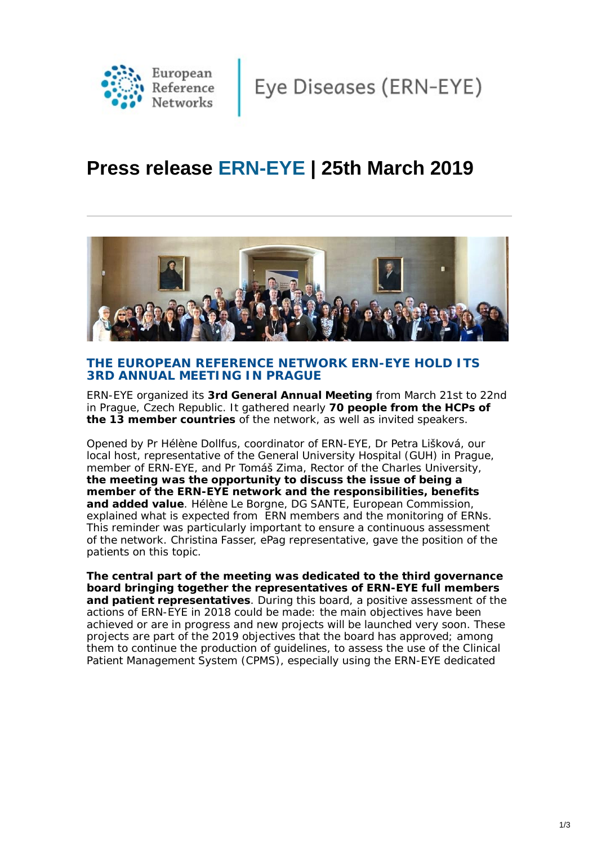

Eye Diseases (ERN-EYE)

# **Press release ERN-EYE | 25th March 2019**



## **THE EUROPEAN REFERENCE NETWORK ERN-EYE HOLD ITS 3RD ANNUAL MEETING IN PRAGUE**

ERN-EYE organized its **3rd General Annual Meeting** from March 21st to 22nd in Prague, Czech Republic. It gathered nearly **70 people from the HCPs of the 13 member countries** of the network, as well as invited speakers.

Opened by Pr Hélène Dollfus, coordinator of ERN-EYE, Dr Petra Lišková, our local host, representative of the General University Hospital (GUH) in Prague, member of ERN-EYE, and Pr Tomáš Zima, Rector of the Charles University, **the meeting was the opportunity to discuss the issue of being a member of the ERN-EYE network and the responsibilities, benefits and added value**. Hélène Le Borgne, DG SANTE, European Commission, explained what is expected from ERN members and the monitoring of ERNs. This reminder was particularly important to ensure a continuous assessment of the network. Christina Fasser, ePag representative, gave the position of the patients on this topic.

**The central part of the meeting was dedicated to the third governance board bringing together the representatives of ERN-EYE full members and patient representatives**. During this board, a positive assessment of the actions of ERN-EYE in 2018 could be made: the main objectives have been achieved or are in progress and new projects will be launched very soon. These projects are part of the 2019 objectives that the board has approved; among them to continue the production of guidelines, to assess the use of the Clinical Patient Management System (CPMS), especially using the ERN-EYE dedicated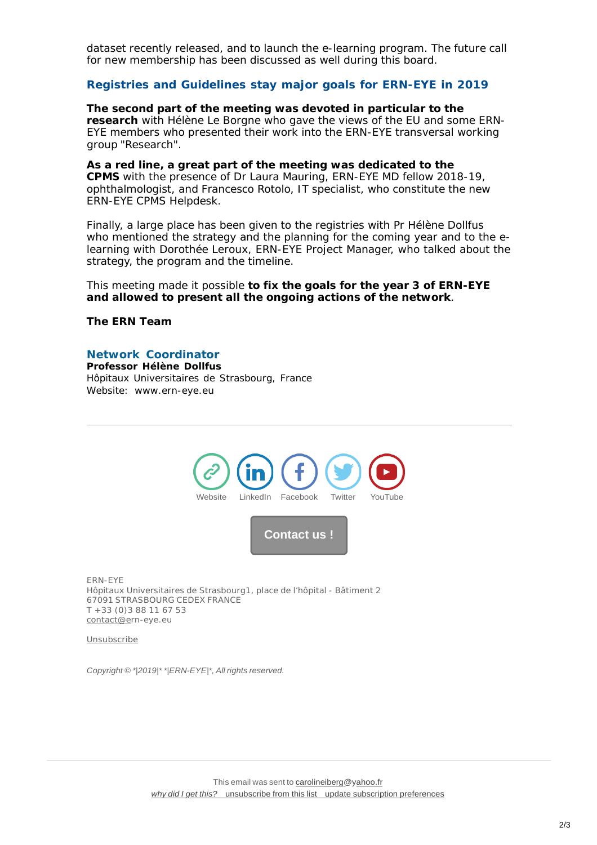dataset recently released, and to launch the e-learning program. The future call for new membership has been discussed as well during this board.

#### **Registries and Guidelines stay major goals for ERN-EYE in 2019**

**The second part of the meeting was devoted in particular to the research** with Hélène Le Borgne who gave the views of the EU and some ERN-EYE members who presented their work into the ERN-EYE transversal working group "Research".

**As a red line, a great part of the meeting was dedicated to the CPMS** with the presence of Dr Laura Mauring, ERN-EYE MD fellow 2018-19, ophthalmologist, and Francesco Rotolo, IT specialist, who constitute the new ERN-EYE CPMS Helpdesk.

Finally, a large place has been given to the registries with Pr Hélène Dollfus who mentioned the strategy and the planning for the coming year and to the elearning with Dorothée Leroux, ERN-EYE Project Manager, who talked about the strategy, the program and the timeline.

This meeting made it possible **to fix the goals for the year 3 of ERN-EYE and allowed to present all the ongoing actions of the network**.

#### **The ERN Team**

### *Network Coordinator*

*Professor Hélène Dollfus Hôpitaux Universitaires de Strasbourg, France Website: [www.ern-eye.eu](http://www.ern-eye.eu/)*



[Unsubscribe](http://contact@ern-eye.eu/)

*Copyright © \*|2019|\* \*|ERN-EYE|\*, All rights reserved.*